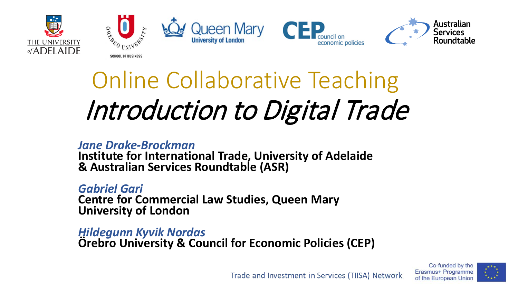









## Online Collaborative Teaching Introduction to Digital Trade

#### *Jane Drake-Brockman*  **Institute for International Trade, University of Adelaide & Australian Services Roundtable (ASR)**

*Gabriel Gari* **Centre for Commercial Law Studies, Queen Mary University of London**

*Hildegunn Kyvik Nordas* **Örebro University & Council for Economic Policies (CEP)** 



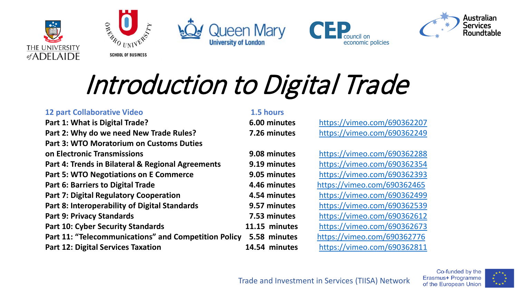









# Introduction to Digital Trade

#### **12 part Collaborative Video 1.5 hours**

**Part 1: What is Digital Trade? 6.00 minutes** <https://vimeo.com/690362207> **Part 2: Why do we need New Trade Rules? 7.26 minutes** <https://vimeo.com/690362249> **Part 3: WTO Moratorium on Customs Duties on Electronic Transmissions 9.08 minutes** <https://vimeo.com/690362288> **Part 4: Trends in Bilateral & Regional Agreements 9.19 minutes** <https://vimeo.com/690362354> **Part 5: WTO Negotiations on E Commerce 3.05 minutes** <https://vimeo.com/690362393> **Part 6: Barriers to Digital Trade 4.46 minutes** <https://vimeo.com/690362465> **Part 7: Digital Regulatory Cooperation 4.54 minutes** <https://vimeo.com/690362499> **Part 8: Interoperability of Digital Standards 9.57 minutes** <https://vimeo.com/690362539> **Part 9: Privacy Standards 7.53 minutes** <https://vimeo.com/690362612> **Part 10: Cyber Security Standards 11.15 minutes** <https://vimeo.com/690362673> **Part 11: "Telecommunications" and Competition Policy 5.58 minutes** <https://vimeo.com/690362776> **Part 12: Digital Services Taxation 14.54 minutes** <https://vimeo.com/690362811>

Co-funded by the Erasmus+ Programme of the European Union

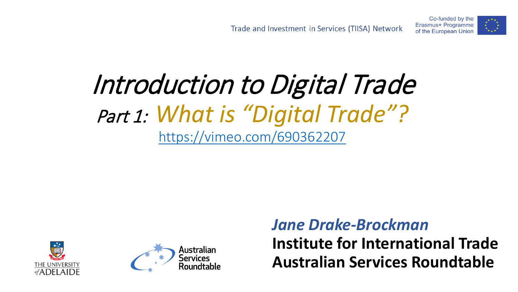

### Introduction to Digital Trade Part 1: *What is "Digital Trade"?* <https://vimeo.com/690362207>





#### *Jane Drake-Brockman* **Institute for International Trade Australian Services Roundtable**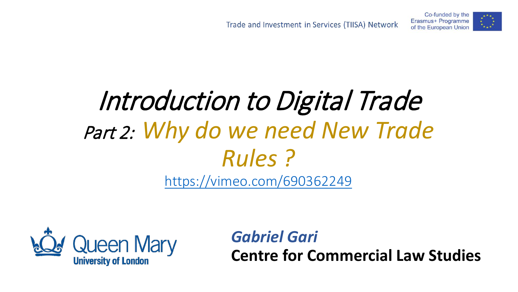Co-funded by the Erasmus+ Programme

of the European Union



# Part 2: *Why do we need New Trade Rules ?*

<https://vimeo.com/690362249>

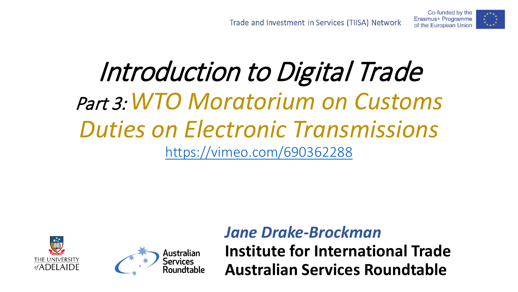

### Introduction to Digital Trade Part 3: *WTO Moratorium on Customs Duties on Electronic Transmissions* <https://vimeo.com/690362288>





*Jane Drake-Brockman* **Institute for International Trade Australian Services Roundtable**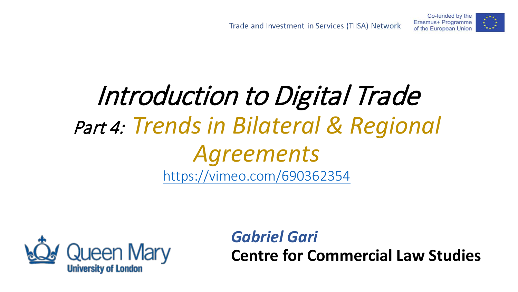Erasmus+ Programme of the European Union

Co-funded by the



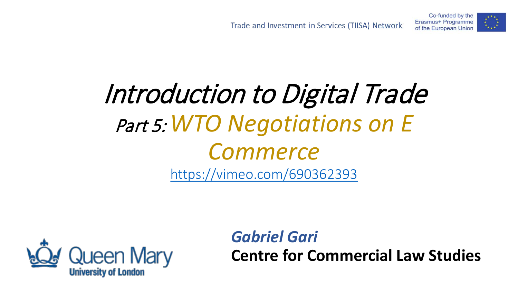Co-funded by the Erasmus+ Programme

of the European Union

### Introduction to Digital Trade Part 5: *WTO Negotiations on E Commerce* <https://vimeo.com/690362393>

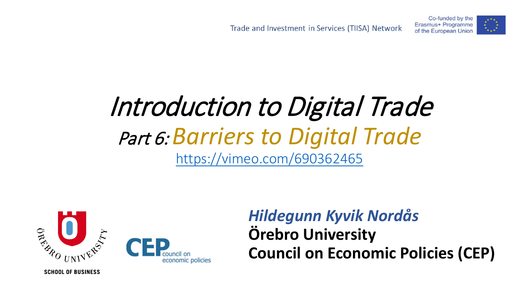

### Introduction to Digital Trade Part 6: *Barriers to Digital Trade* <https://vimeo.com/690362465>



#### *Hildegunn Kyvik Nordås* **Örebro University Council on Economic Policies (CEP)**

**SCHOOL OF BUSINESS**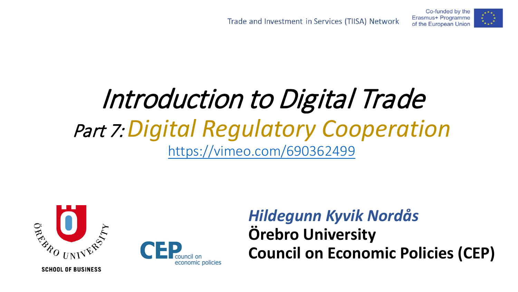

### Introduction to Digital Trade Part 7: *Digital Regulatory Cooperation* <https://vimeo.com/690362499>





#### *Hildegunn Kyvik Nordås* **Örebro University Council on Economic Policies (CEP)**

**SCHOOL OF BUSINESS**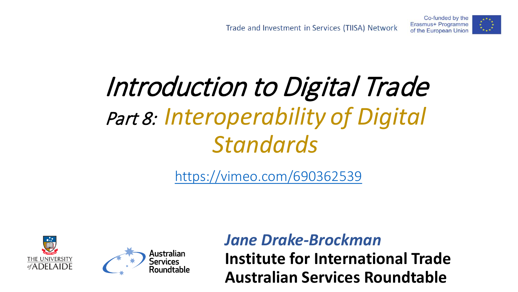### Introduction to Digital Trade Part 8: *Interoperability of Digital Standards*

<https://vimeo.com/690362539>





*Jane Drake-Brockman* **Institute for International Trade Australian Services Roundtable**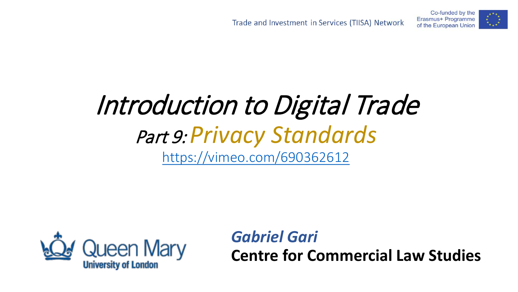

### Introduction to Digital Trade Part 9: *Privacy Standards* <https://vimeo.com/690362612>

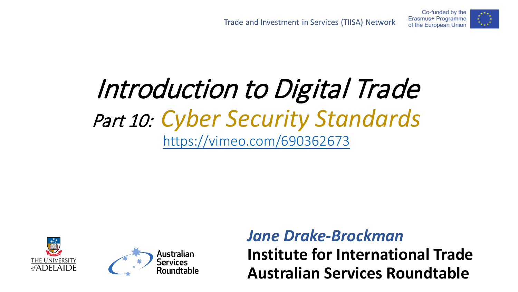

### Introduction to Digital Trade Part 10: *Cyber Security Standards* <https://vimeo.com/690362673>





*Jane Drake-Brockman* **Institute for International Trade Australian Services Roundtable**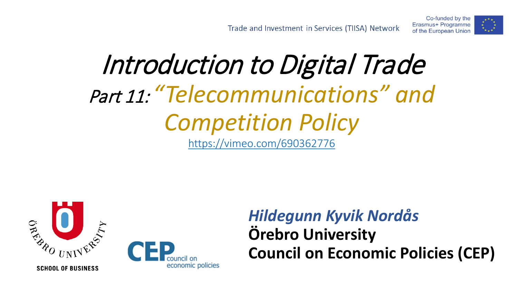



#### *Hildegunn Kyvik Nordås* **Örebro University Council on Economic Policies (CEP)**

Co-funded by the Erasmus+ Programme

of the European Union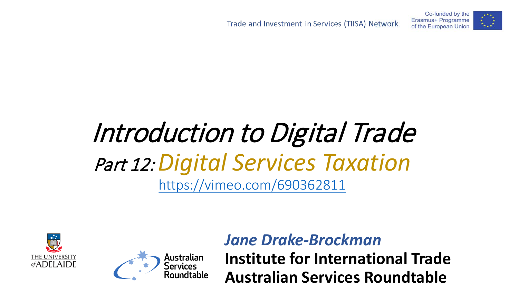![](_page_13_Picture_2.jpeg)

### Introduction to Digital Trade Part 12:*Digital Services Taxation* <https://vimeo.com/690362811>

![](_page_13_Picture_4.jpeg)

![](_page_13_Picture_5.jpeg)

#### *Jane Drake-Brockman*

**Institute for International Trade Australian Services Roundtable**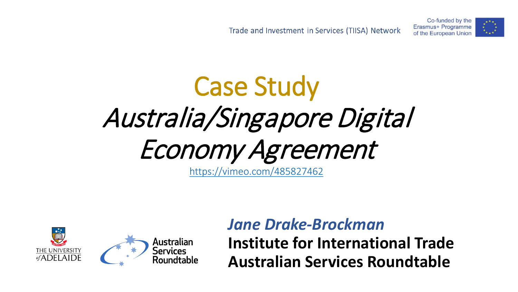Co-funded by the Erasmus+ Programme of the European Union

![](_page_14_Picture_2.jpeg)

# Case Study Australia/Singapore Digital Economy Agreement

<https://vimeo.com/485827462>

![](_page_14_Picture_5.jpeg)

#### *Jane Drake-Brockman*

**Institute for International Trade Australian Services Roundtable**